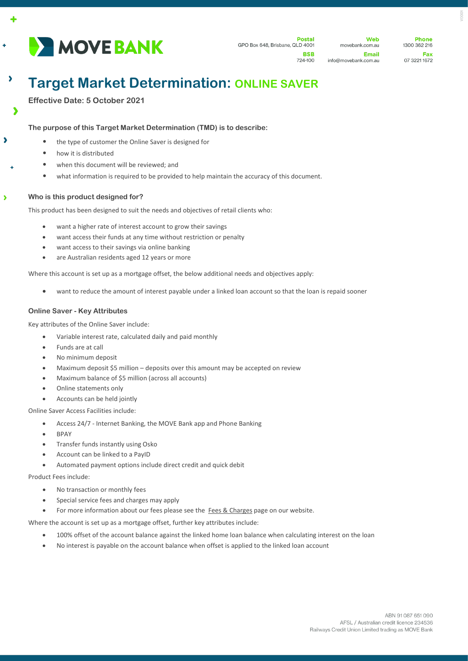

724-100

**Web** movebank.com.au Email info@movebank.com.au

**Dhone** 1300 362 216 Fax 07 3221 1672 0001

# **Target Market Determination: ONLINE SAVER**

**Effective Date: 5 October 2021**

 $\ddot{\bullet}$ 

 $\lambda$ 

 $\overline{\phantom{a}}$ 

 $\lambda$ 

 $\overline{\phantom{a}}$ 

# **The purpose of this Target Market Determination (TMD) is to describe:**

- the type of customer the Online Saver is designed for
- how it is distributed
- when this document will be reviewed; and
- what information is required to be provided to help maintain the accuracy of this document.

# **Who is this product designed for?**

This product has been designed to suit the needs and objectives of retail clients who:

- want a higher rate of interest account to grow their savings
- want access their funds at any time without restriction or penalty
- want access to their savings via online banking
- are Australian residents aged 12 years or more

Where this account is set up as a mortgage offset, the below additional needs and objectives apply:

• want to reduce the amount of interest payable under a linked loan account so that the loan is repaid sooner

# **Online Saver - Key Attributes**

Key attributes of the Online Saver include:

- Variable interest rate, calculated daily and paid monthly
- Funds are at call
- No minimum deposit
- Maximum deposit \$5 million deposits over this amount may be accepted on review
- Maximum balance of \$5 million (across all accounts)
- Online statements only
- Accounts can be held jointly

Online Saver Access Facilities include:

- Access 24/7 Internet Banking, the MOVE Bank app and Phone Banking
- BPAY
- Transfer funds instantly using Osko
- Account can be linked to a PayID
- Automated payment options include direct credit and quick debit

Product Fees include:

- No transaction or monthly fees
- Special service fees and charges may apply
- For more information about our fees please see the [Fees & Charges](https://movebank.com.au/quick-links/fees-charges/) page on our website.

Where the account is set up as a mortgage offset, further key attributes include:

- 100% offset of the account balance against the linked home loan balance when calculating interest on the loan
- No interest is payable on the account balance when offset is applied to the linked loan account